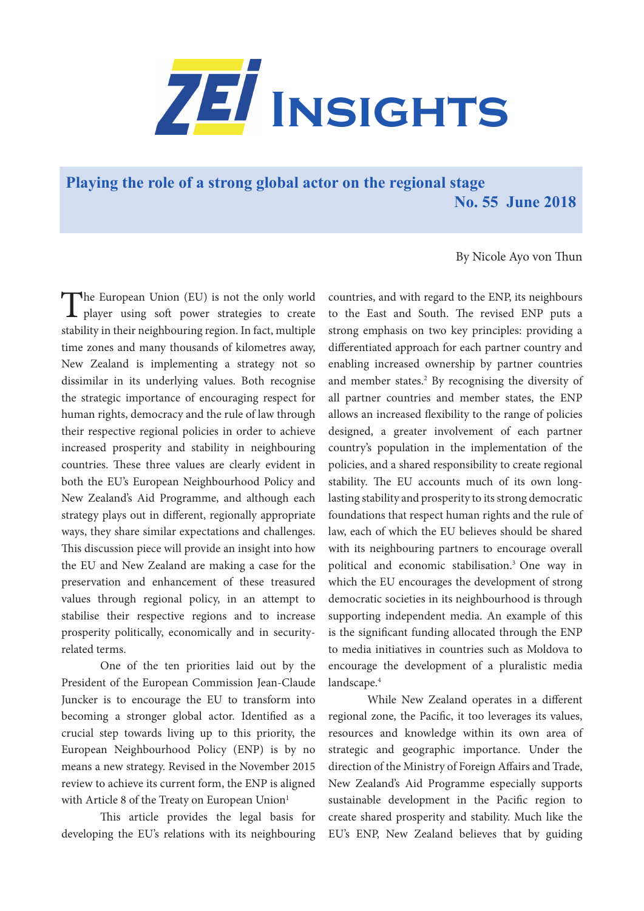

**[Playing the role of a strong global actor on the regional stage](https://www.zei.uni-bonn.de/publications/zei-insights) No. 55 June 2018**

By Nicole Ayo von Thun

The European Union (EU) is not the only world player using soft power strategies to create stability in their neighbouring region. In fact, multiple time zones and many thousands of kilometres away, New Zealand is implementing a strategy not so dissimilar in its underlying values. Both recognise the strategic importance of encouraging respect for human rights, democracy and the rule of law through their respective regional policies in order to achieve increased prosperity and stability in neighbouring countries. These three values are clearly evident in both the EU's European Neighbourhood Policy and New Zealand's Aid Programme, and although each strategy plays out in different, regionally appropriate ways, they share similar expectations and challenges. This discussion piece will provide an insight into how the EU and New Zealand are making a case for the preservation and enhancement of these treasured values through regional policy, in an attempt to stabilise their respective regions and to increase prosperity politically, economically and in securityrelated terms.

One of the ten priorities laid out by the President of the European Commission Jean-Claude Juncker is to encourage the EU to transform into becoming a stronger global actor. Identified as a crucial step towards living up to this priority, the European Neighbourhood Policy (ENP) is by no means a new strategy. Revised in the November 2015 review to achieve its current form, the ENP is aligned with Article 8 of the Treaty on European Union<sup>1</sup>

This article provides the legal basis for developing the EU's relations with its neighbouring

countries, and with regard to the ENP, its neighbours to the East and South. The revised ENP puts a strong emphasis on two key principles: providing a differentiated approach for each partner country and enabling increased ownership by partner countries and member states.<sup>2</sup> By recognising the diversity of all partner countries and member states, the ENP allows an increased flexibility to the range of policies designed, a greater involvement of each partner country's population in the implementation of the policies, and a shared responsibility to create regional stability. The EU accounts much of its own longlasting stability and prosperity to its strong democratic foundations that respect human rights and the rule of law, each of which the EU believes should be shared with its neighbouring partners to encourage overall political and economic stabilisation.3 One way in which the EU encourages the development of strong democratic societies in its neighbourhood is through supporting independent media. An example of this is the significant funding allocated through the ENP to media initiatives in countries such as Moldova to encourage the development of a pluralistic media landscape.<sup>4</sup>

While New Zealand operates in a different regional zone, the Pacific, it too leverages its values, resources and knowledge within its own area of strategic and geographic importance. Under the direction of the Ministry of Foreign Affairs and Trade, New Zealand's Aid Programme especially supports sustainable development in the Pacific region to create shared prosperity and stability. Much like the EU's ENP, New Zealand believes that by guiding